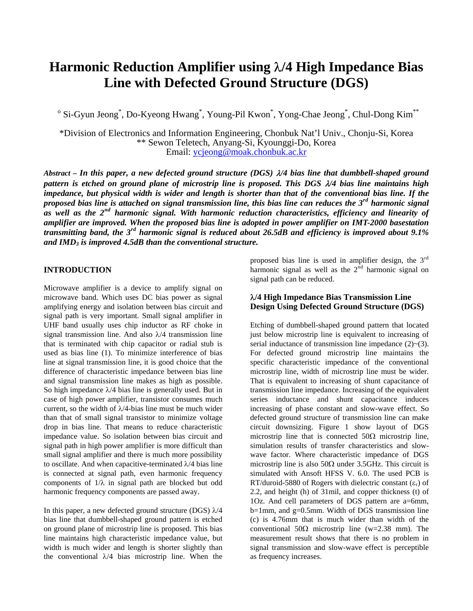# **Harmonic Reduction Amplifier using** λ**/4 High Impedance Bias Line with Defected Ground Structure (DGS)**

<sup>o</sup> Si-Gyun Jeong<sup>\*</sup>, Do-Kyeong Hwang<sup>\*</sup>, Young-Pil Kwon<sup>\*</sup>, Yong-Chae Jeong<sup>\*</sup>, Chul-Dong Kim<sup>\*\*</sup>

\*Division of Electronics and Information Engineering, Chonbuk Nat'l Univ., Chonju-Si, Korea \*\* Sewon Teletech, Anyang-Si, Kyounggi-Do, Korea Email: [ycjeong@moak.chonbuk.ac.kr](mailto:ycjeong@moak.chonbuk.ac.kr)

*Abstract – In this paper, a new defected ground structure (DGS)* λ*/4 bias line that dumbbell-shaped ground pattern is etched on ground plane of microstrip line is proposed. This DGS* λ*/4 bias line maintains high impedance, but physical width is wider and length is shorter than that of the conventional bias line. If the proposed bias line is attached on signal transmission line, this bias line can reduces the 3rd harmonic signal as well as the 2nd harmonic signal. With harmonic reduction characteristics, efficiency and linearity of amplifier are improved. When the proposed bias line is adopted in power amplifier on IMT-2000 basestation transmitting band, the 3rd harmonic signal is reduced about 26.5dB and efficiency is improved about 9.1% and IMD3 is improved 4.5dB than the conventional structure.*

### **INTRODUCTION**

Microwave amplifier is a device to amplify signal on microwave band. Which uses DC bias power as signal amplifying energy and isolation between bias circuit and signal path is very important. Small signal amplifier in UHF band usually uses chip inductor as RF choke in signal transmission line. And also  $\lambda/4$  transmission line that is terminated with chip capacitor or radial stub is used as bias line (1). To minimize interference of bias line at signal transmission line, it is good choice that the difference of characteristic impedance between bias line and signal transmission line makes as high as possible. So high impedance  $\lambda/4$  bias line is generally used. But in case of high power amplifier, transistor consumes much current, so the width of  $\lambda$ /4-bias line must be much wider than that of small signal transistor to minimize voltage drop in bias line. That means to reduce characteristic impedance value. So isolation between bias circuit and signal path in high power amplifier is more difficult than small signal amplifier and there is much more possibility to oscillate. And when capacitive-terminated  $\lambda/4$  bias line is connected at signal path, even harmonic frequency components of  $1/\lambda$  in signal path are blocked but odd harmonic frequency components are passed away.

In this paper, a new defected ground structure (DGS)  $\lambda$ /4 bias line that dumbbell-shaped ground pattern is etched on ground plane of microstrip line is proposed. This bias line maintains high characteristic impedance value, but width is much wider and length is shorter slightly than the conventional  $\lambda/4$  bias microstrip line. When the

proposed bias line is used in amplifier design, the 3rd harmonic signal as well as the  $2<sup>nd</sup>$  harmonic signal on signal path can be reduced.

# λ**/4 High Impedance Bias Transmission Line Design Using Defected Ground Structure (DGS)**

Etching of dumbbell-shaped ground pattern that located just below microstrip line is equivalent to increasing of serial inductance of transmission line impedance  $(2)$  ~ $(3)$ . For defected ground microstrip line maintains the specific characteristic impedance of the conventional microstrip line, width of microstrip line must be wider. That is equivalent to increasing of shunt capacitance of transmission line impedance. Increasing of the equivalent series inductance and shunt capacitance induces increasing of phase constant and slow-wave effect. So defected ground structure of transmission line can make circuit downsizing. Figure 1 show layout of DGS microstrip line that is connected  $50\Omega$  microstrip line, simulation results of transfer characteristics and slowwave factor. Where characteristic impedance of DGS microstrip line is also  $50\Omega$  under 3.5GHz. This circuit is simulated with Ansoft HFSS V. 6.0. The used PCB is RT/duroid-5880 of Rogers with dielectric constant  $(\varepsilon_r)$  of 2.2, and height (h) of 31mil, and copper thickness (t) of 1Oz. And cell parameters of DGS pattern are a=6mm,  $b=1$ mm, and  $g=0.5$ mm. Width of DGS transmission line (c) is 4.76mm that is much wider than width of the conventional 50Ω microstrip line (w=2.38 mm). The measurement result shows that there is no problem in signal transmission and slow-wave effect is perceptible as frequency increases.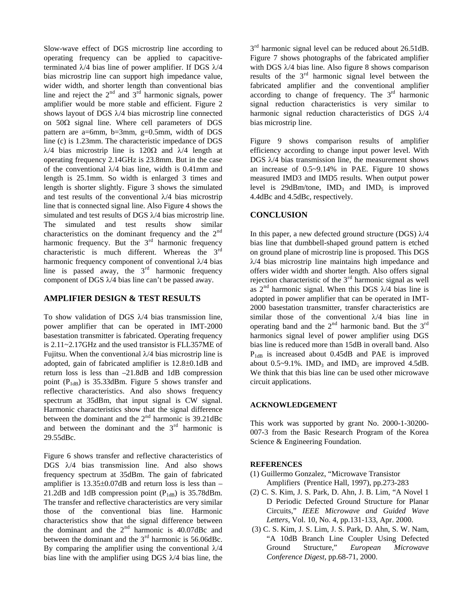Slow-wave effect of DGS microstrip line according to operating frequency can be applied to capacitiveterminated  $\lambda$ /4 bias line of power amplifier. If DGS  $\lambda$ /4 bias microstrip line can support high impedance value, wider width, and shorter length than conventional bias line and reject the  $2<sup>nd</sup>$  and  $3<sup>rd</sup>$  harmonic signals, power amplifier would be more stable and efficient. Figure 2 shows layout of DGS λ/4 bias microstrip line connected on  $50\Omega$  signal line. Where cell parameters of DGS pattern are a=6mm, b=3mm, g=0.5mm, width of DGS line (c) is 1.23mm. The characteristic impedance of DGS λ/4 bias microstrip line is 120Ω and λ/4 length at operating frequency 2.14GHz is 23.8mm. But in the case of the conventional  $\lambda$ /4 bias line, width is 0.41mm and length is 25.1mm. So width is enlarged 3 times and length is shorter slightly. Figure 3 shows the simulated and test results of the conventional  $\lambda/4$  bias microstrip line that is connected signal line. Also Figure 4 shows the simulated and test results of DGS λ/4 bias microstrip line. The simulated and test results show similar characteristics on the dominant frequency and the  $2<sup>nd</sup>$ harmonic frequency. But the  $3<sup>rd</sup>$  harmonic frequency characteristic is much different. Whereas the 3rd harmonic frequency component of conventional  $\lambda/4$  bias line is passed away, the  $3<sup>rd</sup>$  harmonic frequency component of DGS λ/4 bias line can't be passed away.

### **AMPLIFIER DESIGN & TEST RESULTS**

To show validation of DGS  $\lambda$ /4 bias transmission line, power amplifier that can be operated in IMT-2000 basestation transmitter is fabricated. Operating frequency is 2.11~2.17GHz and the used transistor is FLL357ME of Fujitsu. When the conventional  $\lambda/4$  bias microstrip line is adopted, gain of fabricated amplifier is 12.8±0.1dB and return loss is less than –21.8dB and 1dB compression point  $(P_{1dB})$  is 35.33dBm. Figure 5 shows transfer and reflective characteristics. And also shows frequency spectrum at 35dBm, that input signal is CW signal. Harmonic characteristics show that the signal difference between the dominant and the  $2<sup>nd</sup>$  harmonic is 39.21dBc and between the dominant and the  $3<sup>rd</sup>$  harmonic is 29.55dBc.

Figure 6 shows transfer and reflective characteristics of DGS λ/4 bias transmission line. And also shows frequency spectrum at 35dBm. The gain of fabricated amplifier is 13.35±0.07dB and return loss is less than – 21.2dB and 1dB compression point  $(P<sub>1dB</sub>)$  is 35.78dBm. The transfer and reflective characteristics are very similar those of the conventional bias line. Harmonic characteristics show that the signal difference between the dominant and the  $2<sup>nd</sup>$  harmonic is 40.07dBc and between the dominant and the  $3<sup>rd</sup>$  harmonic is 56.06dBc. By comparing the amplifier using the conventional  $\lambda/4$ bias line with the amplifier using DGS  $\lambda$ /4 bias line, the  $3<sup>rd</sup>$  harmonic signal level can be reduced about 26.51dB. Figure 7 shows photographs of the fabricated amplifier with DGS  $\lambda$ /4 bias line. Also figure 8 shows comparison results of the  $3<sup>rd</sup>$  harmonic signal level between the fabricated amplifier and the conventional amplifier according to change of frequency. The  $3<sup>rd</sup>$  harmonic signal reduction characteristics is very similar to harmonic signal reduction characteristics of DGS λ/4 bias microstrip line.

Figure 9 shows comparison results of amplifier efficiency according to change input power level. With DGS  $\lambda$ /4 bias transmission line, the measurement shows an increase of 0.5~9.14% in PAE. Figure 10 shows measured IMD3 and IMD5 results. When output power level is 29dBm/tone,  $IMD_3$  and  $IMD_5$  is improved 4.4dBc and 4.5dBc, respectively.

# **CONCLUSION**

In this paper, a new defected ground structure (DGS)  $\lambda$ /4 bias line that dumbbell-shaped ground pattern is etched on ground plane of microstrip line is proposed. This DGS λ/4 bias microstrip line maintains high impedance and offers wider width and shorter length. Also offers signal rejection characteristic of the 3rd harmonic signal as well as  $2<sup>nd</sup>$  harmonic signal. When this DGS  $\lambda/4$  bias line is adopted in power amplifier that can be operated in IMT-2000 basestation transmitter, transfer characteristics are similar those of the conventional  $\lambda/4$  bias line in operating band and the  $2<sup>nd</sup>$  harmonic band. But the  $3<sup>rd</sup>$ harmonics signal level of power amplifier using DGS bias line is reduced more than 15dB in overall band. Also  $P<sub>1</sub>$ <sub>dB</sub> is increased about 0.45dB and PAE is improved about  $0.5~9.1\%$ . IMD<sub>3</sub> and IMD<sub>5</sub> are improved 4.5dB. We think that this bias line can be used other microwave circuit applications.

# **ACKNOWLEDGEMENT**

This work was supported by grant No. 2000-1-30200- 007-3 from the Basic Research Program of the Korea Science & Engineering Foundation.

#### **REFERENCES**

- (1) Guillermo Gonzalez, "Microwave Transistor Amplifiers (Prentice Hall, 1997), pp.273-283
- (2) C. S. Kim, J. S. Park, D. Ahn, J. B. Lim, "A Novel 1 D Periodic Defected Ground Structure for Planar Circuits," *IEEE Microwave and Guided Wave Letters*, Vol. 10, No. 4, pp.131-133, Apr. 2000.
- (3) C. S. Kim, J. S. Lim, J. S. Park, D. Ahn, S. W. Nam, "A 10dB Branch Line Coupler Using Defected Ground Structure," *European Microwave Conference Digest*, pp.68-71, 2000.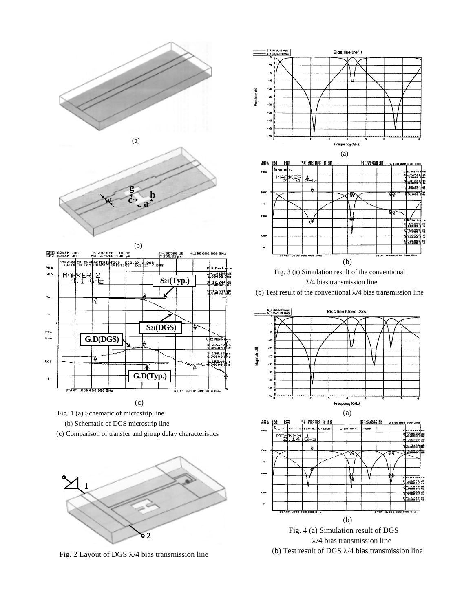





Fig. 1 (a) Schematic of microstrip line

(b) Schematic of DGS microstrip line

(c) Comparison of transfer and group delay characteristics



Fig. 2 Layout of DGS λ/4 bias transmission line



#### λ/4 bias transmission line









(b) Test result of DGS  $\lambda$ /4 bias transmission line